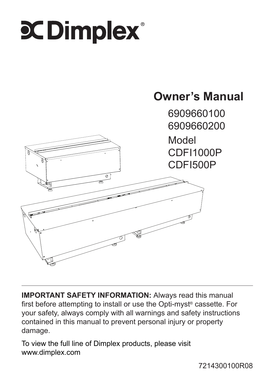# $\mathbf X$  Dimplex $\mathbf x$



**IMPORTANT SAFETY INFORMATION:** Always read this manual first before attempting to install or use the Opti-myst® cassette. For your safety, always comply with all warnings and safety instructions contained in this manual to prevent personal injury or property damage.

To view the full line of Dimplex products, please visit www.dimplex.com

7214300100R08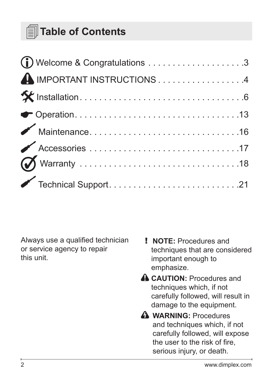### **Table of Contents**

| A IMPORTANT INSTRUCTIONS4 |  |
|---------------------------|--|
|                           |  |
|                           |  |
|                           |  |
|                           |  |
|                           |  |
|                           |  |

Always use a qualified technician or service agency to repair this unit.

- ! **NOTE:** Procedures and techniques that are considered important enough to emphasize.
- **A CAUTION:** Procedures and techniques which, if not carefully followed, will result in damage to the equipment.
- **A** WARNING: Procedures and techniques which, if not carefully followed, will expose the user to the risk of fire, serious injury, or death.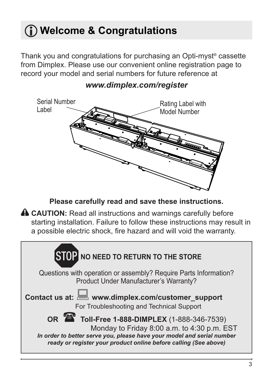### <span id="page-2-0"></span>**Welcome & Congratulations**

Thank you and congratulations for purchasing an Opti-myst® cassette from Dimplex. Please use our convenient online registration page to record your model and serial numbers for future reference at



#### *www.dimplex.com/register*

**Please carefully read and save these instructions.**

**A CAUTION:** Read all instructions and warnings carefully before starting installation. Failure to follow these instructions may result in a possible electric shock, fire hazard and will void the warranty.

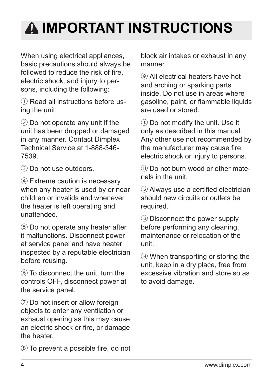### <span id="page-3-0"></span>**IMPORTANT INSTRUCTIONS**

When using electrical appliances, basic precautions should always be followed to reduce the risk of fire. electric shock, and injury to persons, including the following:

① Read all instructions before using the unit.

② Do not operate any unit if the unit has been dropped or damaged in any manner. Contact Dimplex Technical Service at 1-888-346- 7539.

③ Do not use outdoors.

④ Extreme caution is necessary when any heater is used by or near children or invalids and whenever the heater is left operating and unattended.

⑤ Do not operate any heater after it malfunctions. Disconnect power at service panel and have heater inspected by a reputable electrician before reusing.

⑥ To disconnect the unit, turn the controls OFF, disconnect power at the service panel.

⑦ Do not insert or allow foreign objects to enter any ventilation or exhaust opening as this may cause an electric shock or fire, or damage the heater.

⑧ To prevent a possible fire, do not

block air intakes or exhaust in any manner.

⑨ All electrical heaters have hot and arching or sparking parts inside. Do not use in areas where gasoline, paint, or flammable liquids are used or stored.

⑩ Do not modify the unit. Use it only as described in this manual. Any other use not recommended by the manufacturer may cause fire, electric shock or injury to persons.

⑪ Do not burn wood or other materials in the unit.

⑫ Always use a certified electrician should new circuits or outlets be required.

⑬ Disconnect the power supply before performing any cleaning, maintenance or relocation of the unit.

⑭ When transporting or storing the unit, keep in a dry place, free from excessive vibration and store so as to avoid damage.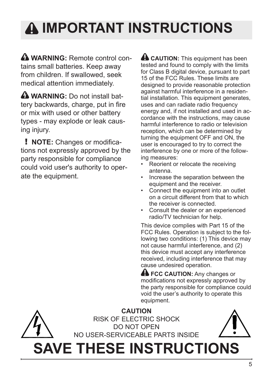## **IMPORTANT INSTRUCTIONS**

**A WARNING:** Remote control contains small batteries. Keep away from children. If swallowed, seek medical attention immediately.

**A WARNING:** Do not install hattery backwards, charge, put in fire or mix with used or other battery types - may explode or leak causing injury.

! **NOTE:** Changes or modifications not expressly approved by the party responsible for compliance could void user's authority to operate the equipment.

**A CAUTION:** This equipment has been tested and found to comply with the limits for Class B digital device, pursuant to part 15 of the FCC Rules. These limits are designed to provide reasonable protection against harmful interference in a residential installation. This equipment generates, uses and can radiate radio frequency energy and, if not installed and used in accordance with the instructions, may cause harmful interference to radio or television reception, which can be determined by turning the equipment OFF and ON, the user is encouraged to try to correct the interference by one or more of the following measures:

- Reorient or relocate the receiving antenna.
- Increase the separation between the equipment and the receiver.
- Connect the equipment into an outlet on a circuit different from that to which the receiver is connected.
- Consult the dealer or an experienced radio/TV technician for help.

This device complies with Part 15 of the FCC Rules. Operation is subject to the following two conditions: (1) This device may not cause harmful interference, and (2) this device must accept any interference received, including interference that may cause undesired operation.

**A FCC CAUTION:** Any changes or modifications not expressly approved by the party responsible for compliance could void the user's authority to operate this equipment.

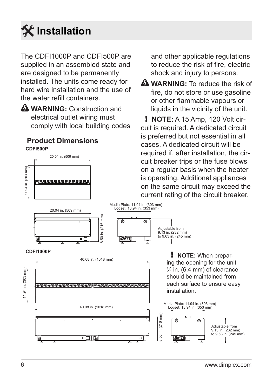<span id="page-5-0"></span>

The CDFI1000P and CDFI500P are supplied in an assembled state and are designed to be permanently installed. The units come ready for hard wire installation and the use of the water refill containers.

**A** WARNING: Construction and electrical outlet wiring must comply with local building codes

#### 20.04 in. (509 mm) **CDFI500P Product Dimensions**

and other applicable regulations to reduce the risk of fire, electric shock and injury to persons.

**A WARNING:** To reduce the risk of fire, do not store or use gasoline or other flammable vapours or liquids in the vicinity of the unit.

! **NOTE:** A 15 Amp, 120 Volt circuit is required. A dedicated circuit is preferred but not essential in all cases. A dedicated circuit will be required if, after installation, the circuit breaker trips or the fuse blows on a regular basis when the heater is operating. Additional appliances on the same circuit may exceed the

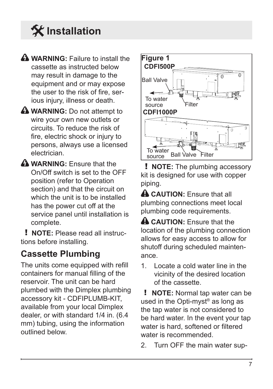**WARNING:** Failure to install the cassette as instructed below may result in damage to the equipment and or may expose the user to the risk of fire, serious injury, illness or death.

**A** WARNING: Do not attempt to wire your own new outlets or circuits. To reduce the risk of fire, electric shock or injury to persons, always use a licensed electrician.

**WARNING:** Ensure that the On/Off switch is set to the OFF position (refer to Operation section) and that the circuit on which the unit is to be installed has the power cut off at the service panel until installation is complete.

! **NOTE:** Please read all instructions before installing.

### **Cassette Plumbing**

The units come equipped with refill containers for manual filling of the reservoir. The unit can be hard plumbed with the Dimplex plumbing accessory kit - CDFIPLUMB-KIT, available from your local Dimplex dealer, or with standard 1/4 in. (6.4 mm) tubing, using the information outlined below.



! **NOTE:** The plumbing accessory kit is designed for use with copper piping.

**A CAUTION:** Ensure that all plumbing connections meet local plumbing code requirements.

**A CAUTION:** Fnsure that the location of the plumbing connection allows for easy access to allow for shutoff during scheduled maintenance.

1. Locate a cold water line in the vicinity of the desired location of the cassette.

! **NOTE:** Normal tap water can be used in the Opti-myst® as long as the tap water is not considered to be hard water. In the event your tap water is hard, softened or filtered water is recommended

2. Turn OFF the main water sup-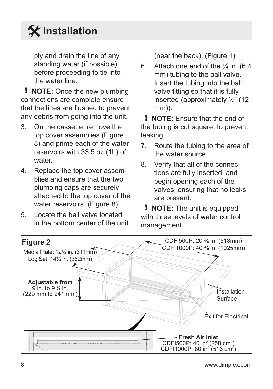ply and drain the line of any standing water (if possible), before proceeding to tie into the water line.

! **NOTE:** Once the new plumbing connections are complete ensure that the lines are flushed to prevent any debris from going into the unit.

- 3. On the cassette, remove the top cover assemblies (Figure 8) and prime each of the water reservoirs with 33.5 oz (1L) of water
- 4. Replace the top cover assemblies and ensure that the two plumbing caps are securely attached to the top cover of the water reservoirs. (Figure 8)
- 5. Locate the ball valve located in the bottom center of the unit

(near the back). (Figure 1)

6. Attach one end of the  $\frac{1}{4}$  in. (6.4) mm) tubing to the ball valve. Insert the tubing into the ball valve fitting so that it is fully inserted (approximately ½" (12 mm)).

! **NOTE:** Ensure that the end of the tubing is cut square, to prevent leaking.

- 7. Route the tubing to the area of the water source.
- 8. Verify that all of the connections are fully inserted, and begin opening each of the valves, ensuring that no leaks are present.

! **NOTE:** The unit is equipped with three levels of water control management.

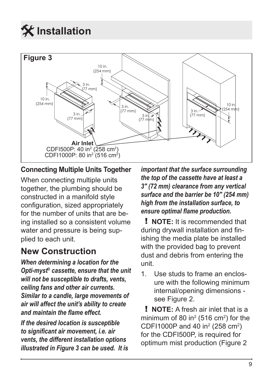

#### **Connecting Multiple Units Together**

When connecting multiple units together, the plumbing should be constructed in a manifold style configuration, sized appropriately for the number of units that are being installed so a consistent volume water and pressure is being supplied to each unit.

#### **New Construction**

*When determining a location for the Opti-myst® cassette, ensure that the unit will not be susceptible to drafts, vents, ceiling fans and other air currents. Similar to a candle, large movements of air will affect the unit's ability to create and maintain the flame effect.*

*If the desired location is susceptible to significant air movement, i.e. air vents, the different installation options illustrated in Figure 3 can be used. It is*  *important that the surface surrounding the top of the cassette have at least a 3" (72 mm) clearance from any vertical surface and the barrier be 10" (254 mm) high from the installation surface, to ensure optimal flame production.*

! **NOTE:** It is recommended that during drywall installation and finishing the media plate be installed with the provided bag to prevent dust and debris from entering the unit.

1. Use studs to frame an enclosure with the following minimum internal/opening dimensions see Figure 2.

! **NOTE:** A fresh air inlet that is a minimum of 80 in<sup>2</sup> (516 cm<sup>2</sup>) for the CDF11000P and 40 in<sup>2</sup> (258 cm<sup>2</sup>) for the CDFI500P, is required for optimum mist production (Figure 2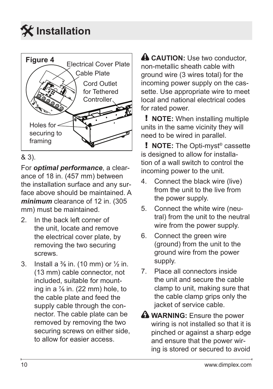



#### & 3).

For *optimal performance*, a clearance of 18 in. (457 mm) between the installation surface and any surface above should be maintained. A *minimum* clearance of 12 in. (305 mm) must be maintained.

- 2. In the back left corner of the unit, locate and remove the electrical cover plate, by removing the two securing screws.
- 3. Install a  $\frac{3}{8}$  in. (10 mm) or  $\frac{1}{2}$  in. (13 mm) cable connector, not included, suitable for mounting in a  $\frac{7}{8}$  in. (22 mm) hole, to the cable plate and feed the supply cable through the connector. The cable plate can be removed by removing the two securing screws on either side, to allow for easier access.

**A CAUTION:** Use two conductor, non-metallic sheath cable with ground wire (3 wires total) for the incoming power supply on the cassette. Use appropriate wire to meet local and national electrical codes for rated power.

! **NOTE:** When installing multiple units in the same vicinity they will need to be wired in parallel.

! **NOTE:** The Opti-myst® cassette is designed to allow for installation of a wall switch to control the incoming power to the unit.

- 4. Connect the black wire (live) from the unit to the live from the power supply.
- 5. Connect the white wire (neutral) from the unit to the neutral wire from the power supply.
- 6. Connect the green wire (ground) from the unit to the ground wire from the power supply.
- 7. Place all connectors inside the unit and secure the cable clamp to unit, making sure that the cable clamp grips only the jacket of service cable.
- **A** WARNING: Ensure the power wiring is not installed so that it is pinched or against a sharp edge and ensure that the power wiring is stored or secured to avoid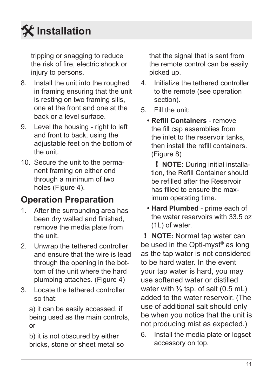tripping or snagging to reduce the risk of fire, electric shock or injury to persons.

- 8. Install the unit into the roughed in framing ensuring that the unit is resting on two framing sills, one at the front and one at the back or a level surface.
- 9. Level the housing right to left and front to back, using the adjustable feet on the bottom of the unit.
- 10. Secure the unit to the permanent framing on either end through a minimum of two holes (Figure 4).

### **Operation Preparation**

- 1. After the surrounding area has been dry walled and finished, remove the media plate from the unit.
- 2. Unwrap the tethered controller and ensure that the wire is lead through the opening in the bottom of the unit where the hard plumbing attaches. (Figure 4)
- 3. Locate the tethered controller so that:

a) it can be easily accessed, if being used as the main controls, or

b) it is not obscured by either bricks, stone or sheet metal so

that the signal that is sent from the remote control can be easily picked up.

- 4. Initialize the tethered controller to the remote (see operation section).
- 5. Fill the unit:
	- **• Refill Containers** remove the fill cap assemblies from the inlet to the reservoir tanks, then install the refill containers. (Figure 8)

! **NOTE:** During initial installation, the Refill Container should be refilled after the Reservoir has filled to ensure the maximum operating time.

**• Hard Plumbed** - prime each of the water reservoirs with 33.5 oz (1L) of water.

! **NOTE:** Normal tap water can be used in the Opti-myst® as long as the tap water is not considered to be hard water. In the event your tap water is hard, you may use softened water or distilled water with  $\frac{1}{8}$  tsp. of salt  $(0.5 \text{ mL})$ added to the water reservoir. (The use of additional salt should only be when you notice that the unit is not producing mist as expected.)

6. Install the media plate or logset accessory on top.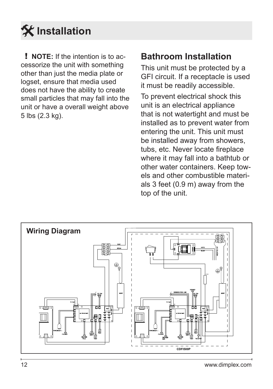

! **NOTE:** If the intention is to accessorize the unit with something other than just the media plate or logset, ensure that media used does not have the ability to create small particles that may fall into the unit or have a overall weight above 5 lbs (2.3 kg).

#### **Bathroom Installation**

This unit must be protected by a GFI circuit. If a receptacle is used it must be readily accessible.

To prevent electrical shock this unit is an electrical appliance that is not watertight and must be installed as to prevent water from entering the unit. This unit must be installed away from showers, tubs, etc. Never locate fireplace where it may fall into a bathtub or other water containers. Keep towels and other combustible materials 3 feet (0.9 m) away from the top of the unit.

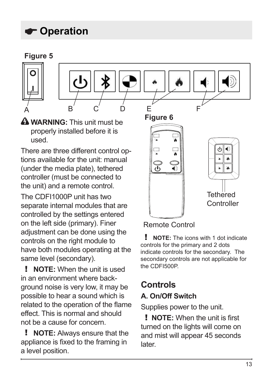### <span id="page-12-0"></span>**Operation**

#### **Figure 5**





**WARNING:** This unit must be properly installed before it is used.

There are three different control options available for the unit: manual (under the media plate), tethered controller (must be connected to the unit) and a remote control. The CDFI1000P unit has two separate internal modules that are controlled by the settings entered on the left side (primary). Finer adjustment can be done using the controls on the right module to

have both modules operating at the same level (secondary).

! **NOTE:** When the unit is used in an environment where background noise is very low, it may be possible to hear a sound which is related to the operation of the flame effect. This is normal and should not be a cause for concern.

! **NOTE:** Always ensure that the appliance is fixed to the framing in a level position.

**Figure 6 Tethered** Controller

Remote Control

! **NOTE:** The icons with 1 dot indicate controls for the primary and 2 dots indicate controls for the secondary. The secondary controls are not applicable for the CDFI500P.

#### **Controls A. On/Off Switch**

Supplies power to the unit.

! **NOTE:** When the unit is first turned on the lights will come on and mist will appear 45 seconds later.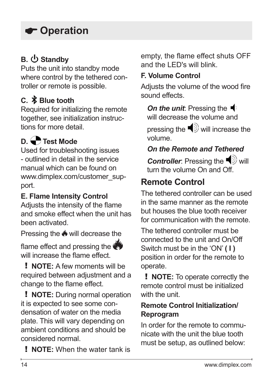### **Operation**

#### **B. ① Standby**

Puts the unit into standby mode where control by the tethered controller or remote is possible.

#### **C. Blue tooth**

Required for initializing the remote together, see initialization instructions for more detail.

#### **D. Test Mode**

Used for troubleshooting issues - outlined in detail in the service manual which can be found on www.dimplex.com/customer\_support.

#### **E. Flame Intensity Control**

Adjusts the intensity of the flame and smoke effect when the unit has been activated.

Pressing the <u>₩</u> will decrease the

flame effect and pressing the will increase the flame effect.

! **NOTE:** A few moments will be required between adjustment and a change to the flame effect.

! **NOTE:** During normal operation it is expected to see some condensation of water on the media plate. This will vary depending on ambient conditions and should be considered normal.

! **NOTE:** When the water tank is

empty, the flame effect shuts OFF and the LED's will blink.

#### **F. Volume Control**

Adjusts the volume of the wood fire sound effects.

**On the unit**: Pressing the <sup>■</sup> will decrease the volume and

pressing the  $\blacktriangleleft$  will increase the volume.

#### *On the Remote and Tethered*

*Controller:* Pressing the  $\blacktriangleleft$  will turn the volume On and Off.

#### **Remote Control**

The tethered controller can be used in the same manner as the remote but houses the blue tooth receiver for communication with the remote.

The tethered controller must be connected to the unit and On/Off Switch must be in the 'ON' **( I )** position in order for the remote to operate.

! **NOTE:** To operate correctly the remote control must be initialized with the unit.

#### **Remote Control Initialization/ Reprogram**

In order for the remote to communicate with the unit the blue tooth must be setup, as outlined below: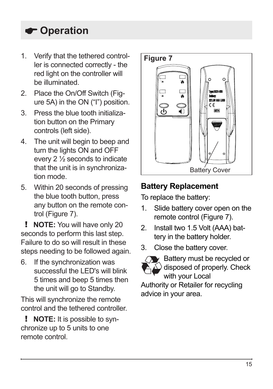### **Operation**

- 1. Verify that the tethered control-<br> **Figure 7** ler is connected correctly - the red light on the controller will be illuminated.
- 2. Place the On/Off Switch (Figure 5A) in the ON ("I") position.
- 3. Press the blue tooth initialization button on the Primary controls (left side).
- 4. The unit will begin to beep and turn the lights ON and OFF every 2 ½ seconds to indicate that the unit is in synchronization mode.
- 5. Within 20 seconds of pressing the blue tooth button, press any button on the remote control (Figure 7).

! **NOTE:** You will have only 20 seconds to perform this last step. Failure to do so will result in these steps needing to be followed again.

6. If the synchronization was successful the LED's will blink 5 times and beep 5 times then the unit will go to Standby.

This will synchronize the remote control and the tethered controller.

! **NOTE:** It is possible to synchronize up to 5 units to one remote control.



#### **Battery Replacement**

To replace the battery:

- 1. Slide battery cover open on the remote control (Figure 7).
- 2. Install two 1.5 Volt (AAA) battery in the battery holder.
- 3. Close the battery cover.



 $\blacktriangleright$  Battery must be recycled or  $\widehat{\triangle}$  disposed of properly. Check with your Local Authority or Retailer for recycling

advice in your area.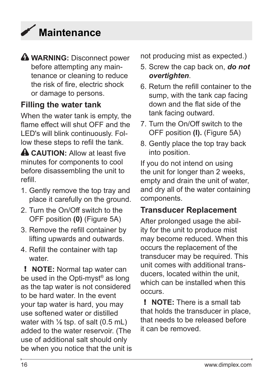### <span id="page-15-0"></span>**Maintenance**

**WARNING:** Disconnect power before attempting any maintenance or cleaning to reduce the risk of fire, electric shock or damage to persons.

#### **Filling the water tank**

When the water tank is empty, the flame effect will shut OFF and the LED's will blink continuously. Follow these steps to refil the tank.

**A CAUTION:** Allow at least five minutes for components to cool before disassembling the unit to refill.

- 1. Gently remove the top tray and place it carefully on the ground.
- 2. Turn the On/Off switch to the OFF position **(0)** (Figure 5A)
- 3. Remove the refill container by lifting upwards and outwards.
- 4. Refill the container with tap water

! **NOTE:** Normal tap water can be used in the Opti-myst<sup>®</sup> as long as the tap water is not considered to be hard water. In the event your tap water is hard, you may use softened water or distilled water with  $\frac{1}{6}$  tsp. of salt  $(0.5 \text{ mL})$ added to the water reservoir. (The use of additional salt should only be when you notice that the unit is not producing mist as expected.)

- 5. Screw the cap back on, *do not overtighten*.
- 6. Return the refill container to the sump, with the tank cap facing down and the flat side of the tank facing outward.
- 7. Turn the On/Off switch to the OFF position **(I).** (Figure 5A)
- 8. Gently place the top tray back into position.

If you do not intend on using the unit for longer than 2 weeks, empty and drain the unit of water, and dry all of the water containing components.

#### **Transducer Replacement**

After prolonged usage the ability for the unit to produce mist may become reduced. When this occurs the replacement of the transducer may be required. This unit comes with additional transducers, located within the unit which can be installed when this occurs.

! **NOTE:** There is a small tab that holds the transducer in place, that needs to be released before it can be removed.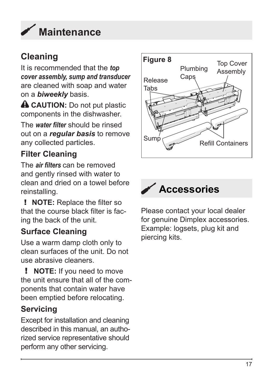<span id="page-16-0"></span>

It is recommended that the *top cover assembly, sump and transducer* are cleaned with soap and water on a *biweekly* basis.

**A CAUTION:** Do not put plastic components in the dishwasher.

The *water filter* should be rinsed out on a *regular basis* to remove any collected particles.

#### **Filter Cleaning**

The *air filters* can be removed and gently rinsed with water to clean and dried on a towel before reinstalling.

! **NOTE:** Replace the filter so that the course black filter is facing the back of the unit.

#### **Surface Cleaning**

Use a warm damp cloth only to clean surfaces of the unit. Do not use abrasive cleaners.

! **NOTE:** If you need to move the unit ensure that all of the components that contain water have been emptied before relocating.

#### **Servicing**

Except for installation and cleaning described in this manual, an authorized service representative should perform any other servicing.





Please contact your local dealer for genuine Dimplex accessories. Example: logsets, plug kit and piercing kits.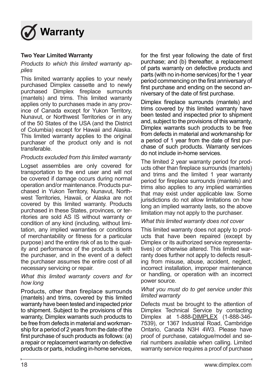<span id="page-17-0"></span>

#### **Two Year Limited Warranty**

*Products to which this limited warranty applies* 

This limited warranty applies to your newly purchased Dimplex cassette and to newly purchased Dimplex fireplace surrounds (mantels) and trims. This limited warranty applies only to purchases made in any province of Canada except for Yukon Territory, Nunavut, or Northwest Territories or in any of the 50 States of the USA (and the District of Columbia) except for Hawaii and Alaska. This limited warranty applies to the original purchaser of the product only and is not .<br>transferable

#### *Products excluded from this limited warranty*

Logset assemblies are only covered for transportation to the end user and will not be covered if damage occurs during normal operation and/or maintenance. Products purchased in Yukon Territory, Nunavut, Northwest Territories, Hawaii, or Alaska are not covered by this limited warranty. Products purchased in these States, provinces, or territories are sold AS IS without warranty or condition of any kind (including, without limitation, any implied warranties or conditions of merchantability or fitness for a particular purpose) and the entire risk of as to the quality and performance of the products is with the purchaser, and in the event of a defect the purchaser assumes the entire cost of all necessary servicing or repair.

#### *What this limited warranty covers and for how long*

Products, other than fireplace surrounds (mantels) and trims, covered by this limited warranty have been tested and inspected prior to shipment. Subject to the provisions of this warranty, Dimplex warrants such products to be free from defects in material and workmanship for a period of 2 years from the date of the first purchase of such products as follows: (a) a repair or replacement warranty on defective products or parts, including in-home services,

for the first year following the date of first purchase; and (b) thereafter, a replacement of parts warranty on defective products and parts (with no in-home services) for the 1 year period commencing on the first anniversary of first purchase and ending on the second anniversary of the date of first purchase.

Dimplex fireplace surrounds (mantels) and trims covered by this limited warranty have been tested and inspected prior to shipment and, subject to the provisions of this warranty, Dimplex warrants such products to be free from defects in material and workmanship for a period of 1 year from the date of first purchase of such products. Warranty services do not include in-home services.

The limited 2 year warranty period for products other than fireplace surrounds (mantels) and trims and the limited 1 year warranty period for fireplace surrounds (mantels) and trims also applies to any implied warranties that may exist under applicable law. Some jurisdictions do not allow limitations on how long an implied warranty lasts, so the above limitation may not apply to the purchaser.

#### *What this limited warranty does not cover*

This limited warranty does not apply to products that have been repaired (except by Dimplex or its authorized service representatives) or otherwise altered. This limited warranty does further not apply to defects resulting from misuse, abuse, accident, neglect, incorrect installation, improper maintenance or handling, or operation with an incorrect power source.

#### *What you must do to get service under this limited warranty*

Defects must be brought to the attention of Dimplex Technical Service by contacting Dimplex at 1-888-DIMPLEX (1-888-346- 7539), or 1367 Industrial Road, Cambridge Ontario, Canada N3H 4W3. Please have proof of purchase, catalogue/model and serial numbers available when calling. Limited warranty service requires a proof of purchase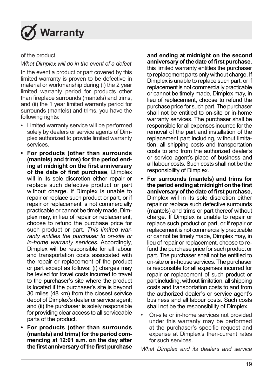

of the product.

*What Dimplex will do in the event of a defect* 

In the event a product or part covered by this limited warranty is proven to be defective in material or workmanship during (i) the 2 year limited warranty period for products other than fireplace surrounds (mantels) and trims, and (ii) the 1 year limited warranty period for surrounds (mantels) and trims, you have the following rights:

- Limited warranty service will be performed solely by dealers or service agents of Dimplex authorized to provide limited warranty services.
- **• For products (other than surrounds (mantels) and trims) for the period ending at midnight on the first anniversary of the date of first purchase**, Dimplex will in its sole discretion either repair or replace such defective product or part without charge. If Dimplex is unable to repair or replace such product or part, or if repair or replacement is not commercially practicable or cannot be timely made, Dimplex may, in lieu of repair or replacement, choose to refund the purchase price for such product or part. *This limited warranty entitles the purchaser to on-site or in-home warranty services*. Accordingly, Dimplex will be responsible for all labour and transportation costs associated with the repair or replacement of the product or part except as follows: (i) charges may be levied for travel costs incurred to travel to the purchaser's site where the product is located if the purchaser's site is beyond 30 miles (48 km) from the closest service depot of Dimplex's dealer or service agent; and (ii) the purchaser is solely responsible for providing clear access to all serviceable parts of the product.
- **• For products (other than surrounds (mantels) and trims) for the period commencing at 12:01 a.m. on the day after the first anniversary of the first purchase**

#### **and ending at midnight on the second anniversary of the date of first purchase**,

this limited warranty entitles the purchaser to replacement parts only without charge. If Dimplex is unable to replace such part, or if replacement is not commercially practicable or cannot be timely made, Dimplex may, in lieu of replacement, choose to refund the purchase price for such part. The purchaser shall not be entitled to on-site or in-home warranty services. The purchaser shall be responsible for all expenses incurred for the removal of the part and installation of the replacement part including, without limitation, all shipping costs and transportation costs to and from the authorized dealer's or service agent's place of business and all labour costs. Such costs shall not be the responsibility of Dimplex.

- **• For surrounds (mantels) and trims for the period ending at midnight on the first anniversary of the date of first purchase,**  Dimplex will in its sole discretion either repair or replace such defective surrounds (mantels) and trims or part thereof without charge. If Dimplex is unable to repair or replace such product or part, or if repair or replacement is not commercially practicable or cannot be timely made, Dimplex may, in lieu of repair or replacement, choose to refund the purchase price for such product or part. The purchaser shall not be entitled to on-site or in-house services. The purchaser is responsible for all expenses incurred for repair or replacement of such product or part including, without limitation, all shipping costs and transportation costs to and from the authorized dealer's or service agent's business and all labour costs. Such costs shall not be the responsibility of Dimplex.
- On-site or in-home services not provided under this warranty may be performed at the purchaser's specific request and expense at Dimplex's then-current rates for such services.

*What Dimplex and its dealers and service*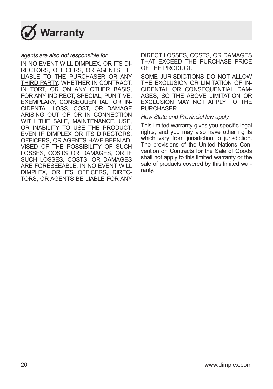

#### *agents are also not responsible for*:

IN NO EVENT WILL DIMPLEX, OR ITS DI-RECTORS, OFFICERS, OR AGENTS, BE LIABLE TO THE PURCHASER OR ANY THIRD PARTY. WHETHER IN CONTRACT, IN TORT, OR ON ANY OTHER BASIS. FOR ANY INDIRECT, SPECIAL, PUNITIVE, EXEMPLARY, CONSEQUENTIAL, OR IN-CIDENTAL LOSS, COST, OR DAMAGE ARISING OUT OF OR IN CONNECTION WITH THE SALE, MAINTENANCE, USE, OR INABILITY TO USE THE PRODUCT, EVEN IF DIMPLEX OR ITS DIRECTORS, OFFICERS, OR AGENTS HAVE BEEN AD-VISED OF THE POSSIBILITY OF SUCH LOSSES, COSTS OR DAMAGES, OR IF SUCH LOSSES, COSTS, OR DAMAGES ARE FORESEEABLE. IN NO EVENT WILL DIMPLEX, OR ITS OFFICERS, DIREC-TORS, OR AGENTS BE LIABLE FOR ANY DIRECT LOSSES, COSTS, OR DAMAGES THAT EXCEED THE PURCHASE PRICE OF THE PRODUCT.

SOME JURISDICTIONS DO NOT ALLOW THE EXCLUSION OR LIMITATION OF IN-CIDENTAL OR CONSEQUENTIAL DAM-AGES, SO THE ABOVE LIMITATION OR EXCLUSION MAY NOT APPLY TO THE **PURCHASER** 

#### *How State and Provincial law apply*

This limited warranty gives you specific legal rights, and you may also have other rights which vary from jurisdiction to jurisdiction. The provisions of the United Nations Convention on Contracts for the Sale of Goods shall not apply to this limited warranty or the sale of products covered by this limited warranty.